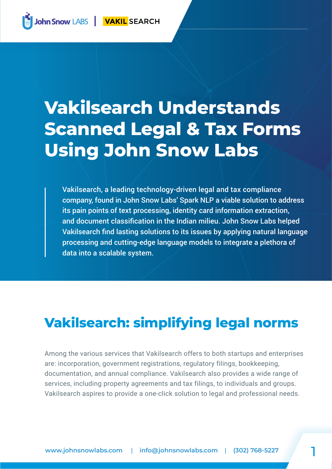# **Vakilsearch Understands Scanned Legal & Tax Forms Using John Snow Labs**

Vakilsearch, a leading technology-driven legal and tax compliance company, found in John Snow Labs' Spark NLP a viable solution to address its pain points of text processing, identity card information extraction, and document classification in the Indian milieu. John Snow Labs helped Vakilsearch find lasting solutions to its issues by applying natural language processing and cutting-edge language models to integrate a plethora of data into a scalable system.

## **Vakilsearch: simplifying legal norms**

Among the various services that Vakilsearch offers to both startups and enterprises are: incorporation, government registrations, regulatory filings, bookkeeping, documentation, and annual compliance. Vakilsearch also provides a wide range of services, including property agreements and tax filings, to individuals and groups. Vakilsearch aspires to provide a one-click solution to legal and professional needs.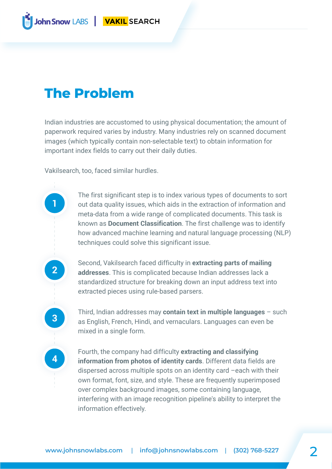### **The Problem**

Indian industries are accustomed to using physical documentation; the amount of paperwork required varies by industry. Many industries rely on scanned document images (which typically contain non-selectable text) to obtain information for important index fields to carry out their daily duties.

Vakilsearch, too, faced similar hurdles.

**1**

**2**

**3**

**4**

The first significant step is to index various types of documents to sort out data quality issues, which aids in the extraction of information and meta-data from a wide range of complicated documents. This task is known as **Document Classification**. The first challenge was to identify how advanced machine learning and natural language processing (NLP) techniques could solve this significant issue.

Second, Vakilsearch faced difficulty in **extracting parts of mailing addresses**. This is complicated because Indian addresses lack a standardized structure for breaking down an input address text into extracted pieces using rule-based parsers.

Third, Indian addresses may **contain text in multiple languages** – such as English, French, Hindi, and vernaculars. Languages can even be mixed in a single form.

Fourth, the company had difficulty **extracting and classifying information from photos of identity cards**. Different data fields are dispersed across multiple spots on an identity card –each with their own format, font, size, and style. These are frequently superimposed over complex background images, some containing language, interfering with an image recognition pipeline's ability to interpret the information effectively.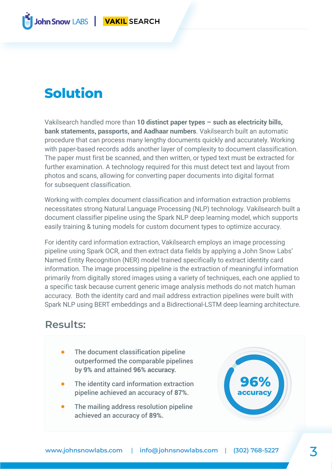## **Solution**

Vakilsearch handled more than **10 distinct paper types – such as electricity bills, bank statements, passports, and Aadhaar numbers**. Vakilsearch built an automatic procedure that can process many lengthy documents quickly and accurately. Working with paper-based records adds another layer of complexity to document classification. The paper must first be scanned, and then written, or typed text must be extracted for further examination. A technology required for this must detect text and layout from photos and scans, allowing for converting paper documents into digital format for subsequent classification.

Working with complex document classification and information extraction problems necessitates strong Natural Language Processing (NLP) technology. Vakilsearch built a document classifier pipeline using the Spark NLP deep learning model, which supports easily training & tuning models for custom document types to optimize accuracy.

For identity card information extraction, Vakilsearch employs an image processing pipeline using Spark OCR, and then extract data fields by applying a John Snow Labs' Named Entity Recognition (NER) model trained specifically to extract identity card information. The image processing pipeline is the extraction of meaningful information primarily from digitally stored images using a variety of techniques, each one applied to a specific task because current generic image analysis methods do not match human accuracy. Both the identity card and mail address extraction pipelines were built with Spark NLP using BERT embeddings and a Bidirectional-LSTM deep learning architecture.

#### **Results:**

- The document classification pipeline outperformed the comparable pipelines by **9%** and attained **96% accuracy.**
- The identity card information extraction pipeline achieved an accuracy of **87%**.
- The mailing address resolution pipeline achieved an accuracy of **89%.**